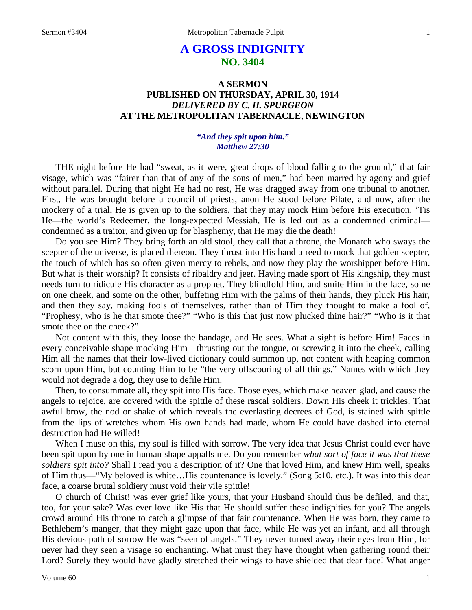# **A GROSS INDIGNITY NO. 3404**

# **A SERMON PUBLISHED ON THURSDAY, APRIL 30, 1914** *DELIVERED BY C. H. SPURGEON* **AT THE METROPOLITAN TABERNACLE, NEWINGTON**

#### *"And they spit upon him." Matthew 27:30*

THE night before He had "sweat, as it were, great drops of blood falling to the ground," that fair visage, which was "fairer than that of any of the sons of men," had been marred by agony and grief without parallel. During that night He had no rest, He was dragged away from one tribunal to another. First, He was brought before a council of priests, anon He stood before Pilate, and now, after the mockery of a trial, He is given up to the soldiers, that they may mock Him before His execution. 'Tis He—the world's Redeemer, the long-expected Messiah, He is led out as a condemned criminal condemned as a traitor, and given up for blasphemy, that He may die the death!

Do you see Him? They bring forth an old stool, they call that a throne, the Monarch who sways the scepter of the universe, is placed thereon. They thrust into His hand a reed to mock that golden scepter, the touch of which has so often given mercy to rebels, and now they play the worshipper before Him. But what is their worship? It consists of ribaldry and jeer. Having made sport of His kingship, they must needs turn to ridicule His character as a prophet. They blindfold Him, and smite Him in the face, some on one cheek, and some on the other, buffeting Him with the palms of their hands, they pluck His hair, and then they say, making fools of themselves, rather than of Him they thought to make a fool of, "Prophesy, who is he that smote thee?" "Who is this that just now plucked thine hair?" "Who is it that smote thee on the cheek?"

Not content with this, they loose the bandage, and He sees. What a sight is before Him! Faces in every conceivable shape mocking Him—thrusting out the tongue, or screwing it into the cheek, calling Him all the names that their low-lived dictionary could summon up, not content with heaping common scorn upon Him, but counting Him to be "the very offscouring of all things." Names with which they would not degrade a dog, they use to defile Him.

Then, to consummate all, they spit into His face. Those eyes, which make heaven glad, and cause the angels to rejoice, are covered with the spittle of these rascal soldiers. Down His cheek it trickles. That awful brow, the nod or shake of which reveals the everlasting decrees of God, is stained with spittle from the lips of wretches whom His own hands had made, whom He could have dashed into eternal destruction had He willed!

When I muse on this, my soul is filled with sorrow. The very idea that Jesus Christ could ever have been spit upon by one in human shape appalls me. Do you remember *what sort of face it was that these soldiers spit into?* Shall I read you a description of it? One that loved Him, and knew Him well, speaks of Him thus—"My beloved is white…His countenance is lovely." (Song 5:10, etc.). It was into this dear face, a coarse brutal soldiery must void their vile spittle!

O church of Christ! was ever grief like yours, that your Husband should thus be defiled, and that, too, for your sake? Was ever love like His that He should suffer these indignities for you? The angels crowd around His throne to catch a glimpse of that fair countenance. When He was born, they came to Bethlehem's manger, that they might gaze upon that face, while He was yet an infant, and all through His devious path of sorrow He was "seen of angels." They never turned away their eyes from Him, for never had they seen a visage so enchanting. What must they have thought when gathering round their Lord? Surely they would have gladly stretched their wings to have shielded that dear face! What anger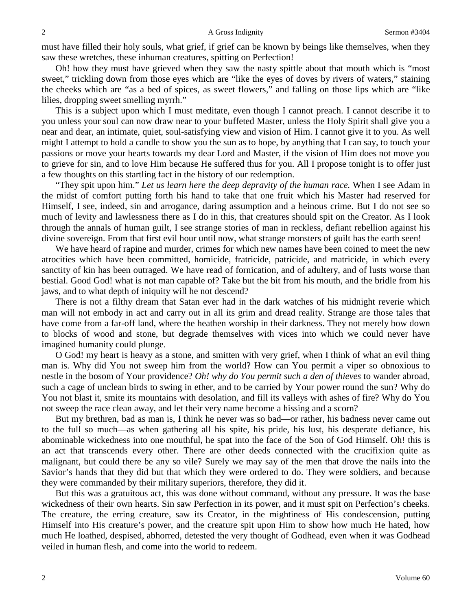must have filled their holy souls, what grief, if grief can be known by beings like themselves, when they saw these wretches, these inhuman creatures, spitting on Perfection!

Oh! how they must have grieved when they saw the nasty spittle about that mouth which is "most sweet," trickling down from those eyes which are "like the eyes of doves by rivers of waters," staining the cheeks which are "as a bed of spices, as sweet flowers," and falling on those lips which are "like lilies, dropping sweet smelling myrrh."

This is a subject upon which I must meditate, even though I cannot preach. I cannot describe it to you unless your soul can now draw near to your buffeted Master, unless the Holy Spirit shall give you a near and dear, an intimate, quiet, soul-satisfying view and vision of Him. I cannot give it to you. As well might I attempt to hold a candle to show you the sun as to hope, by anything that I can say, to touch your passions or move your hearts towards my dear Lord and Master, if the vision of Him does not move you to grieve for sin, and to love Him because He suffered thus for you. All I propose tonight is to offer just a few thoughts on this startling fact in the history of our redemption.

"They spit upon him." *Let us learn here the deep depravity of the human race.* When I see Adam in the midst of comfort putting forth his hand to take that one fruit which his Master had reserved for Himself, I see, indeed, sin and arrogance, daring assumption and a heinous crime. But I do not see so much of levity and lawlessness there as I do in this, that creatures should spit on the Creator. As I look through the annals of human guilt, I see strange stories of man in reckless, defiant rebellion against his divine sovereign. From that first evil hour until now, what strange monsters of guilt has the earth seen!

We have heard of rapine and murder, crimes for which new names have been coined to meet the new atrocities which have been committed, homicide, fratricide, patricide, and matricide, in which every sanctity of kin has been outraged. We have read of fornication, and of adultery, and of lusts worse than bestial. Good God! what is not man capable of? Take but the bit from his mouth, and the bridle from his jaws, and to what depth of iniquity will he not descend?

There is not a filthy dream that Satan ever had in the dark watches of his midnight reverie which man will not embody in act and carry out in all its grim and dread reality. Strange are those tales that have come from a far-off land, where the heathen worship in their darkness. They not merely bow down to blocks of wood and stone, but degrade themselves with vices into which we could never have imagined humanity could plunge.

O God! my heart is heavy as a stone, and smitten with very grief, when I think of what an evil thing man is. Why did You not sweep him from the world? How can You permit a viper so obnoxious to nestle in the bosom of Your providence? *Oh! why do You permit such a den of thieves* to wander abroad, such a cage of unclean birds to swing in ether, and to be carried by Your power round the sun? Why do You not blast it, smite its mountains with desolation, and fill its valleys with ashes of fire? Why do You not sweep the race clean away, and let their very name become a hissing and a scorn?

But my brethren, bad as man is, I think he never was so bad—or rather, his badness never came out to the full so much—as when gathering all his spite, his pride, his lust, his desperate defiance, his abominable wickedness into one mouthful, he spat into the face of the Son of God Himself. Oh! this is an act that transcends every other. There are other deeds connected with the crucifixion quite as malignant, but could there be any so vile? Surely we may say of the men that drove the nails into the Savior's hands that they did but that which they were ordered to do. They were soldiers, and because they were commanded by their military superiors, therefore, they did it.

But this was a gratuitous act, this was done without command, without any pressure. It was the base wickedness of their own hearts. Sin saw Perfection in its power, and it must spit on Perfection's cheeks. The creature, the erring creature, saw its Creator, in the mightiness of His condescension, putting Himself into His creature's power, and the creature spit upon Him to show how much He hated, how much He loathed, despised, abhorred, detested the very thought of Godhead, even when it was Godhead veiled in human flesh, and come into the world to redeem.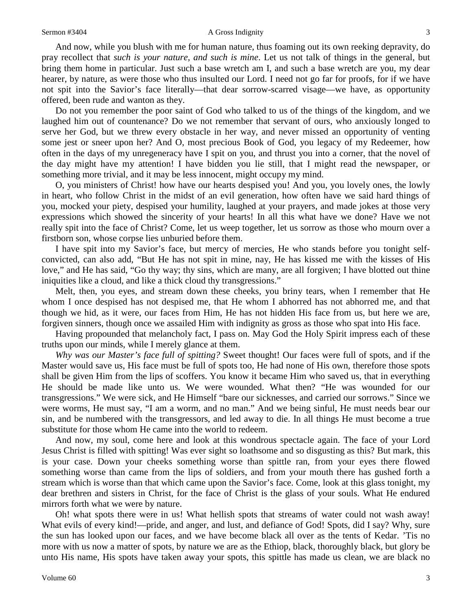And now, while you blush with me for human nature, thus foaming out its own reeking depravity, do pray recollect that *such is your nature, and such is mine*. Let us not talk of things in the general, but bring them home in particular. Just such a base wretch am I, and such a base wretch are you, my dear hearer, by nature, as were those who thus insulted our Lord. I need not go far for proofs, for if we have not spit into the Savior's face literally—that dear sorrow-scarred visage—we have, as opportunity offered, been rude and wanton as they.

Do not you remember the poor saint of God who talked to us of the things of the kingdom, and we laughed him out of countenance? Do we not remember that servant of ours, who anxiously longed to serve her God, but we threw every obstacle in her way, and never missed an opportunity of venting some jest or sneer upon her? And O, most precious Book of God, you legacy of my Redeemer, how often in the days of my unregeneracy have I spit on you, and thrust you into a corner, that the novel of the day might have my attention! I have bidden you lie still, that I might read the newspaper, or something more trivial, and it may be less innocent, might occupy my mind.

O, you ministers of Christ! how have our hearts despised you! And you, you lovely ones, the lowly in heart, who follow Christ in the midst of an evil generation, how often have we said hard things of you, mocked your piety, despised your humility, laughed at your prayers, and made jokes at those very expressions which showed the sincerity of your hearts! In all this what have we done? Have we not really spit into the face of Christ? Come, let us weep together, let us sorrow as those who mourn over a firstborn son, whose corpse lies unburied before them.

I have spit into my Savior's face, but mercy of mercies, He who stands before you tonight selfconvicted, can also add, "But He has not spit in mine, nay, He has kissed me with the kisses of His love," and He has said, "Go thy way; thy sins, which are many, are all forgiven; I have blotted out thine iniquities like a cloud, and like a thick cloud thy transgressions."

Melt, then, you eyes, and stream down these cheeks, you briny tears, when I remember that He whom I once despised has not despised me, that He whom I abhorred has not abhorred me, and that though we hid, as it were, our faces from Him, He has not hidden His face from us, but here we are, forgiven sinners, though once we assailed Him with indignity as gross as those who spat into His face.

Having propounded that melancholy fact, I pass on. May God the Holy Spirit impress each of these truths upon our minds, while I merely glance at them.

*Why was our Master's face full of spitting?* Sweet thought! Our faces were full of spots, and if the Master would save us, His face must be full of spots too, He had none of His own, therefore those spots shall be given Him from the lips of scoffers. You know it became Him who saved us, that in everything He should be made like unto us. We were wounded. What then? "He was wounded for our transgressions." We were sick, and He Himself "bare our sicknesses, and carried our sorrows." Since we were worms, He must say, "I am a worm, and no man." And we being sinful, He must needs bear our sin, and be numbered with the transgressors, and led away to die. In all things He must become a true substitute for those whom He came into the world to redeem.

And now, my soul, come here and look at this wondrous spectacle again. The face of your Lord Jesus Christ is filled with spitting! Was ever sight so loathsome and so disgusting as this? But mark, this is your case. Down your cheeks something worse than spittle ran, from your eyes there flowed something worse than came from the lips of soldiers, and from your mouth there has gushed forth a stream which is worse than that which came upon the Savior's face. Come, look at this glass tonight, my dear brethren and sisters in Christ, for the face of Christ is the glass of your souls. What He endured mirrors forth what we were by nature.

Oh! what spots there were in us! What hellish spots that streams of water could not wash away! What evils of every kind!—pride, and anger, and lust, and defiance of God! Spots, did I say? Why, sure the sun has looked upon our faces, and we have become black all over as the tents of Kedar. 'Tis no more with us now a matter of spots, by nature we are as the Ethiop, black, thoroughly black, but glory be unto His name, His spots have taken away your spots, this spittle has made us clean, we are black no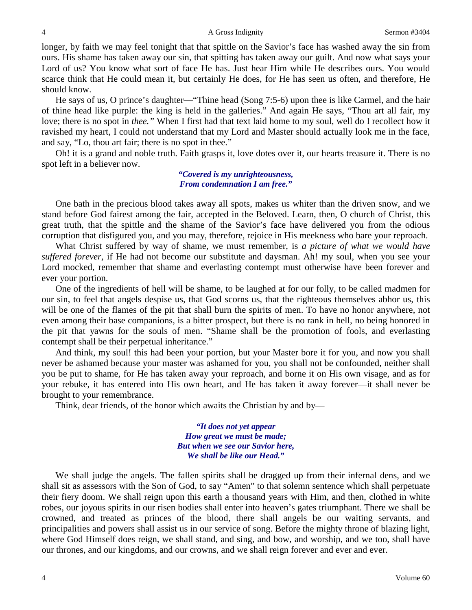longer, by faith we may feel tonight that that spittle on the Savior's face has washed away the sin from ours. His shame has taken away our sin, that spitting has taken away our guilt. And now what says your Lord of us? You know what sort of face He has. Just hear Him while He describes ours. You would scarce think that He could mean it, but certainly He does, for He has seen us often, and therefore, He should know.

He says of us, O prince's daughter—"Thine head (Song 7:5-6) upon thee is like Carmel, and the hair of thine head like purple: the king is held in the galleries." And again He says, "Thou art all fair, my love; there is no spot in *thee."* When I first had that text laid home to my soul, well do I recollect how it ravished my heart, I could not understand that my Lord and Master should actually look me in the face, and say, "Lo, thou art fair; there is no spot in thee."

Oh! it is a grand and noble truth. Faith grasps it, love dotes over it, our hearts treasure it. There is no spot left in a believer now.

#### *"Covered is my unrighteousness, From condemnation I am free."*

One bath in the precious blood takes away all spots, makes us whiter than the driven snow, and we stand before God fairest among the fair, accepted in the Beloved. Learn, then, O church of Christ, this great truth, that the spittle and the shame of the Savior's face have delivered you from the odious corruption that disfigured you, and you may, therefore, rejoice in His meekness who bare your reproach.

What Christ suffered by way of shame, we must remember, is *a picture of what we would have suffered forever,* if He had not become our substitute and daysman. Ah! my soul, when you see your Lord mocked, remember that shame and everlasting contempt must otherwise have been forever and ever your portion.

One of the ingredients of hell will be shame, to be laughed at for our folly, to be called madmen for our sin, to feel that angels despise us, that God scorns us, that the righteous themselves abhor us, this will be one of the flames of the pit that shall burn the spirits of men. To have no honor anywhere, not even among their base companions, is a bitter prospect, but there is no rank in hell, no being honored in the pit that yawns for the souls of men. "Shame shall be the promotion of fools, and everlasting contempt shall be their perpetual inheritance."

And think, my soul! this had been your portion, but your Master bore it for you, and now you shall never be ashamed because your master was ashamed for you, you shall not be confounded, neither shall you be put to shame, for He has taken away your reproach, and borne it on His own visage, and as for your rebuke, it has entered into His own heart, and He has taken it away forever—it shall never be brought to your remembrance.

Think, dear friends, of the honor which awaits the Christian by and by—

*"It does not yet appear How great we must be made; But when we see our Savior here, We shall be like our Head."*

We shall judge the angels. The fallen spirits shall be dragged up from their infernal dens, and we shall sit as assessors with the Son of God, to say "Amen" to that solemn sentence which shall perpetuate their fiery doom. We shall reign upon this earth a thousand years with Him, and then, clothed in white robes, our joyous spirits in our risen bodies shall enter into heaven's gates triumphant. There we shall be crowned, and treated as princes of the blood, there shall angels be our waiting servants, and principalities and powers shall assist us in our service of song. Before the mighty throne of blazing light, where God Himself does reign, we shall stand, and sing, and bow, and worship, and we too, shall have our thrones, and our kingdoms, and our crowns, and we shall reign forever and ever and ever.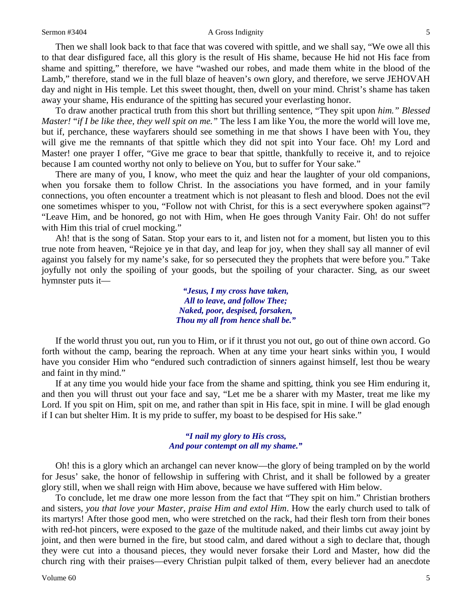Then we shall look back to that face that was covered with spittle, and we shall say, "We owe all this to that dear disfigured face, all this glory is the result of His shame, because He hid not His face from shame and spitting," therefore, we have "washed our robes, and made them white in the blood of the Lamb," therefore, stand we in the full blaze of heaven's own glory, and therefore, we serve JEHOVAH day and night in His temple. Let this sweet thought, then, dwell on your mind. Christ's shame has taken away your shame, His endurance of the spitting has secured your everlasting honor.

To draw another practical truth from this short but thrilling sentence, "They spit upon *him." Blessed Master!* "*if I be like thee, they well spit on me."* The less I am like You, the more the world will love me, but if, perchance, these wayfarers should see something in me that shows I have been with You, they will give me the remnants of that spittle which they did not spit into Your face. Oh! my Lord and Master! one prayer I offer, "Give me grace to bear that spittle, thankfully to receive it, and to rejoice because I am counted worthy not only to believe on You, but to suffer for Your sake."

There are many of you, I know, who meet the quiz and hear the laughter of your old companions, when you forsake them to follow Christ. In the associations you have formed, and in your family connections, you often encounter a treatment which is not pleasant to flesh and blood. Does not the evil one sometimes whisper to you, "Follow not with Christ, for this is a sect everywhere spoken against"? "Leave Him, and be honored, go not with Him, when He goes through Vanity Fair. Oh! do not suffer with Him this trial of cruel mocking."

Ah! that is the song of Satan. Stop your ears to it, and listen not for a moment, but listen you to this true note from heaven, "Rejoice ye in that day, and leap for joy, when they shall say all manner of evil against you falsely for my name's sake, for so persecuted they the prophets that were before you." Take joyfully not only the spoiling of your goods, but the spoiling of your character. Sing, as our sweet hymnster puts it—

> *"Jesus, I my cross have taken, All to leave, and follow Thee; Naked, poor, despised, forsaken, Thou my all from hence shall be."*

If the world thrust you out, run you to Him, or if it thrust you not out, go out of thine own accord. Go forth without the camp, bearing the reproach. When at any time your heart sinks within you, I would have you consider Him who "endured such contradiction of sinners against himself, lest thou be weary and faint in thy mind."

If at any time you would hide your face from the shame and spitting, think you see Him enduring it, and then you will thrust out your face and say, "Let me be a sharer with my Master, treat me like my Lord. If you spit on Him, spit on me, and rather than spit in His face, spit in mine. I will be glad enough if I can but shelter Him. It is my pride to suffer, my boast to be despised for His sake."

#### *"I nail my glory to His cross, And pour contempt on all my shame."*

Oh! this is a glory which an archangel can never know—the glory of being trampled on by the world for Jesus' sake, the honor of fellowship in suffering with Christ, and it shall be followed by a greater glory still, when we shall reign with Him above, because we have suffered with Him below.

To conclude, let me draw one more lesson from the fact that "They spit on him." Christian brothers and sisters, *you that love your Master, praise Him and extol Him*. How the early church used to talk of its martyrs! After those good men, who were stretched on the rack, had their flesh torn from their bones with red-hot pincers, were exposed to the gaze of the multitude naked, and their limbs cut away joint by joint, and then were burned in the fire, but stood calm, and dared without a sigh to declare that, though they were cut into a thousand pieces, they would never forsake their Lord and Master, how did the church ring with their praises—every Christian pulpit talked of them, every believer had an anecdote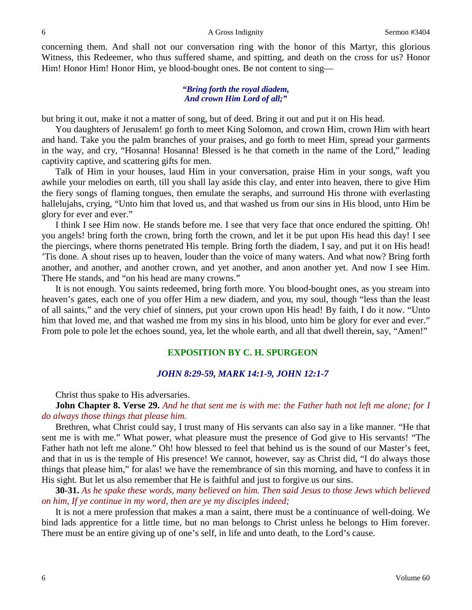concerning them. And shall not our conversation ring with the honor of this Martyr, this glorious Witness, this Redeemer, who thus suffered shame, and spitting, and death on the cross for us? Honor Him! Honor Him! Honor Him, ye blood-bought ones. Be not content to sing—

#### *"Bring forth the royal diadem, And crown Him Lord of all;"*

but bring it out, make it not a matter of song, but of deed. Bring it out and put it on His head.

You daughters of Jerusalem! go forth to meet King Solomon, and crown Him, crown Him with heart and hand. Take you the palm branches of your praises, and go forth to meet Him, spread your garments in the way, and cry, "Hosanna! Hosanna! Blessed is he that cometh in the name of the Lord," leading captivity captive, and scattering gifts for men.

Talk of Him in your houses, laud Him in your conversation, praise Him in your songs, waft you awhile your melodies on earth, till you shall lay aside this clay, and enter into heaven, there to give Him the fiery songs of flaming tongues, then emulate the seraphs, and surround His throne with everlasting hallelujahs, crying, "Unto him that loved us, and that washed us from our sins in His blood, unto Him be glory for ever and ever."

I think I see Him now. He stands before me. I see that very face that once endured the spitting. Oh! you angels! bring forth the crown, bring forth the crown, and let it be put upon His head this day! I see the piercings, where thorns penetrated His temple. Bring forth the diadem, I say, and put it on His head! 'Tis done. A shout rises up to heaven, louder than the voice of many waters. And what now? Bring forth another, and another, and another crown, and yet another, and anon another yet. And now I see Him. There He stands, and "on his head are many crowns."

It is not enough. You saints redeemed, bring forth more. You blood-bought ones, as you stream into heaven's gates, each one of you offer Him a new diadem, and you, my soul, though "less than the least of all saints," and the very chief of sinners, put your crown upon His head! By faith, I do it now. "Unto him that loved me, and that washed me from my sins in his blood, unto him be glory for ever and ever." From pole to pole let the echoes sound, yea, let the whole earth, and all that dwell therein, say, "Amen!"

### **EXPOSITION BY C. H. SPURGEON**

### *JOHN 8:29-59, MARK 14:1-9, JOHN 12:1-7*

Christ thus spake to His adversaries.

**John Chapter 8. Verse 29.** *And he that sent me is with me: the Father hath not left me alone; for I do always those things that please him.*

Brethren, what Christ could say, I trust many of His servants can also say in a like manner. "He that sent me is with me." What power, what pleasure must the presence of God give to His servants! "The Father hath not left me alone." Oh! how blessed to feel that behind us is the sound of our Master's feet, and that in us is the temple of His presence! We cannot, however, say as Christ did, "I do always those things that please him," for alas! we have the remembrance of sin this morning, and have to confess it in His sight. But let us also remember that He is faithful and just to forgive us our sins.

**30-31.** *As he spake these words, many believed on him. Then said Jesus to those Jews which believed on him, If ye continue in my word, then are ye my disciples indeed;*

It is not a mere profession that makes a man a saint, there must be a continuance of well-doing. We bind lads apprentice for a little time, but no man belongs to Christ unless he belongs to Him forever. There must be an entire giving up of one's self, in life and unto death, to the Lord's cause.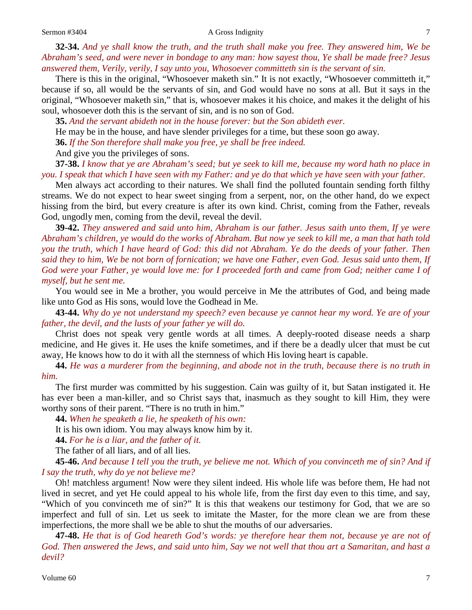**32-34.** *And ye shall know the truth, and the truth shall make you free. They answered him, We be Abraham's seed, and were never in bondage to any man: how sayest thou, Ye shall be made free? Jesus answered them, Verily, verily, I say unto you, Whosoever committeth sin is the servant of sin.*

There is this in the original, "Whosoever maketh sin." It is not exactly, "Whosoever committeth it," because if so, all would be the servants of sin, and God would have no sons at all. But it says in the original, "Whosoever maketh sin," that is, whosoever makes it his choice, and makes it the delight of his soul, whosoever doth this is the servant of sin, and is no son of God.

**35.** *And the servant abideth not in the house forever: but the Son abideth ever.*

He may be in the house, and have slender privileges for a time, but these soon go away.

**36.** *If the Son therefore shall make you free, ye shall be free indeed.*

And give you the privileges of sons.

**37-38.** *I know that ye are Abraham's seed; but ye seek to kill me, because my word hath no place in you. I speak that which I have seen with my Father: and ye do that which ye have seen with your father.*

Men always act according to their natures. We shall find the polluted fountain sending forth filthy streams. We do not expect to hear sweet singing from a serpent, nor, on the other hand, do we expect hissing from the bird, but every creature is after its own kind. Christ, coming from the Father, reveals God, ungodly men, coming from the devil, reveal the devil.

**39-42.** *They answered and said unto him, Abraham is our father. Jesus saith unto them, If ye were Abraham's children, ye would do the works of Abraham. But now ye seek to kill me, a man that hath told you the truth, which I have heard of God: this did not Abraham. Ye do the deeds of your father. Then said they to him, We be not born of fornication; we have one Father, even God. Jesus said unto them, If God were your Father, ye would love me: for I proceeded forth and came from God; neither came I of myself, but he sent me.*

You would see in Me a brother, you would perceive in Me the attributes of God, and being made like unto God as His sons, would love the Godhead in Me.

**43-44.** *Why do ye not understand my speech? even because ye cannot hear my word. Ye are of your father, the devil, and the lusts of your father ye will do.*

Christ does not speak very gentle words at all times. A deeply-rooted disease needs a sharp medicine, and He gives it. He uses the knife sometimes, and if there be a deadly ulcer that must be cut away, He knows how to do it with all the sternness of which His loving heart is capable.

**44.** *He was a murderer from the beginning, and abode not in the truth, because there is no truth in him.*

The first murder was committed by his suggestion. Cain was guilty of it, but Satan instigated it. He has ever been a man-killer, and so Christ says that, inasmuch as they sought to kill Him, they were worthy sons of their parent. "There is no truth in him."

**44.** *When he speaketh a lie, he speaketh of his own:*

It is his own idiom. You may always know him by it.

**44.** *For he is a liar, and the father of it.*

The father of all liars, and of all lies.

**45-46.** *And because I tell you the truth, ye believe me not. Which of you convinceth me of sin? And if I say the truth, why do ye not believe me?*

Oh! matchless argument! Now were they silent indeed. His whole life was before them, He had not lived in secret, and yet He could appeal to his whole life, from the first day even to this time, and say, "Which of you convinceth me of sin?" It is this that weakens our testimony for God, that we are so imperfect and full of sin. Let us seek to imitate the Master, for the more clean we are from these imperfections, the more shall we be able to shut the mouths of our adversaries.

**47-48.** *He that is of God heareth God's words: ye therefore hear them not, because ye are not of God. Then answered the Jews, and said unto him, Say we not well that thou art a Samaritan, and hast a devil?*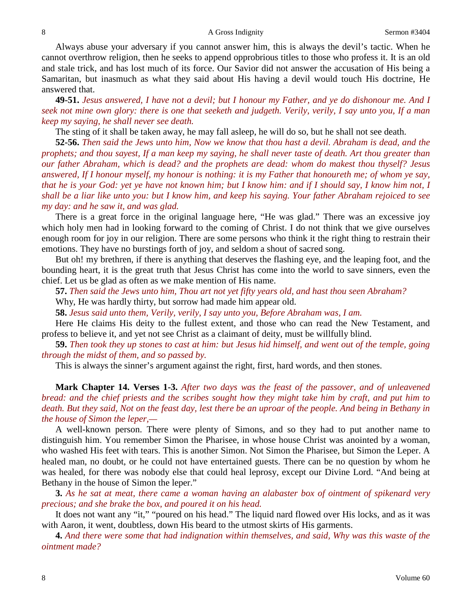Always abuse your adversary if you cannot answer him, this is always the devil's tactic. When he cannot overthrow religion, then he seeks to append opprobrious titles to those who profess it. It is an old and stale trick, and has lost much of its force. Our Savior did not answer the accusation of His being a Samaritan, but inasmuch as what they said about His having a devil would touch His doctrine, He answered that.

**49-51.** *Jesus answered, I have not a devil; but I honour my Father, and ye do dishonour me. And I seek not mine own glory: there is one that seeketh and judgeth. Verily, verily, I say unto you, If a man keep my saying, he shall never see death.*

The sting of it shall be taken away, he may fall asleep, he will do so, but he shall not see death.

**52-56.** *Then said the Jews unto him, Now we know that thou hast a devil. Abraham is dead, and the prophets; and thou sayest, If a man keep my saying, he shall never taste of death. Art thou greater than our father Abraham, which is dead? and the prophets are dead: whom do makest thou thyself? Jesus answered, If I honour myself, my honour is nothing: it is my Father that honoureth me; of whom ye say, that he is your God: yet ye have not known him; but I know him: and if I should say, I know him not, I shall be a liar like unto you: but I know him, and keep his saying. Your father Abraham rejoiced to see my day: and he saw it, and was glad.*

There is a great force in the original language here, "He was glad." There was an excessive joy which holy men had in looking forward to the coming of Christ. I do not think that we give ourselves enough room for joy in our religion. There are some persons who think it the right thing to restrain their emotions. They have no burstings forth of joy, and seldom a shout of sacred song.

But oh! my brethren, if there is anything that deserves the flashing eye, and the leaping foot, and the bounding heart, it is the great truth that Jesus Christ has come into the world to save sinners, even the chief. Let us be glad as often as we make mention of His name.

**57.** *Then said the Jews unto him, Thou art not yet fifty years old, and hast thou seen Abraham?* Why, He was hardly thirty, but sorrow had made him appear old.

**58.** *Jesus said unto them, Verily, verily, I say unto you, Before Abraham was, I am.*

Here He claims His deity to the fullest extent, and those who can read the New Testament, and profess to believe it, and yet not see Christ as a claimant of deity, must be willfully blind.

**59.** *Then took they up stones to cast at him: but Jesus hid himself, and went out of the temple, going through the midst of them, and so passed by.*

This is always the sinner's argument against the right, first, hard words, and then stones.

**Mark Chapter 14. Verses 1-3.** *After two days was the feast of the passover, and of unleavened bread: and the chief priests and the scribes sought how they might take him by craft, and put him to death. But they said, Not on the feast day, lest there be an uproar of the people. And being in Bethany in the house of Simon the leper,—*

A well-known person. There were plenty of Simons, and so they had to put another name to distinguish him. You remember Simon the Pharisee, in whose house Christ was anointed by a woman, who washed His feet with tears. This is another Simon. Not Simon the Pharisee, but Simon the Leper. A healed man, no doubt, or he could not have entertained guests. There can be no question by whom he was healed, for there was nobody else that could heal leprosy, except our Divine Lord. "And being at Bethany in the house of Simon the leper."

**3.** *As he sat at meat, there came a woman having an alabaster box of ointment of spikenard very precious; and she brake the box, and poured it on his head.*

It does not want any "it," "poured on his head." The liquid nard flowed over His locks, and as it was with Aaron, it went, doubtless, down His beard to the utmost skirts of His garments.

**4.** *And there were some that had indignation within themselves, and said, Why was this waste of the ointment made?*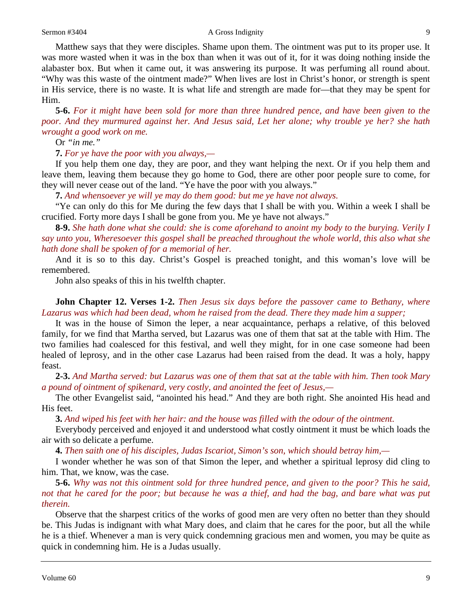Matthew says that they were disciples. Shame upon them. The ointment was put to its proper use. It was more wasted when it was in the box than when it was out of it, for it was doing nothing inside the alabaster box. But when it came out, it was answering its purpose. It was perfuming all round about. "Why was this waste of the ointment made?" When lives are lost in Christ's honor, or strength is spent in His service, there is no waste. It is what life and strength are made for—that they may be spent for Him.

**5-6.** *For it might have been sold for more than three hundred pence, and have been given to the poor. And they murmured against her. And Jesus said, Let her alone; why trouble ye her? she hath wrought a good work on me.*

Or *"in me."*

**7.** *For ye have the poor with you always,—*

If you help them one day, they are poor, and they want helping the next. Or if you help them and leave them, leaving them because they go home to God, there are other poor people sure to come, for they will never cease out of the land. "Ye have the poor with you always."

**7.** *And whensoever ye will ye may do them good: but me ye have not always.*

"Ye can only do this for Me during the few days that I shall be with you. Within a week I shall be crucified. Forty more days I shall be gone from you. Me ye have not always."

**8-9.** *She hath done what she could: she is come aforehand to anoint my body to the burying. Verily I say unto you, Wheresoever this gospel shall be preached throughout the whole world, this also what she hath done shall be spoken of for a memorial of her.*

And it is so to this day. Christ's Gospel is preached tonight, and this woman's love will be remembered.

John also speaks of this in his twelfth chapter.

## **John Chapter 12. Verses 1-2.** *Then Jesus six days before the passover came to Bethany, where Lazarus was which had been dead, whom he raised from the dead. There they made him a supper;*

It was in the house of Simon the leper, a near acquaintance, perhaps a relative, of this beloved family, for we find that Martha served, but Lazarus was one of them that sat at the table with Him. The two families had coalesced for this festival, and well they might, for in one case someone had been healed of leprosy, and in the other case Lazarus had been raised from the dead. It was a holy, happy feast.

**2-3.** *And Martha served: but Lazarus was one of them that sat at the table with him. Then took Mary a pound of ointment of spikenard, very costly, and anointed the feet of Jesus,—*

The other Evangelist said, "anointed his head." And they are both right. She anointed His head and His feet.

**3.** *And wiped his feet with her hair: and the house was filled with the odour of the ointment.*

Everybody perceived and enjoyed it and understood what costly ointment it must be which loads the air with so delicate a perfume.

**4.** *Then saith one of his disciples, Judas Iscariot, Simon's son, which should betray him,—*

I wonder whether he was son of that Simon the leper, and whether a spiritual leprosy did cling to him. That, we know, was the case.

**5-6.** *Why was not this ointment sold for three hundred pence, and given to the poor? This he said, not that he cared for the poor; but because he was a thief, and had the bag, and bare what was put therein.*

Observe that the sharpest critics of the works of good men are very often no better than they should be. This Judas is indignant with what Mary does, and claim that he cares for the poor, but all the while he is a thief. Whenever a man is very quick condemning gracious men and women, you may be quite as quick in condemning him. He is a Judas usually.